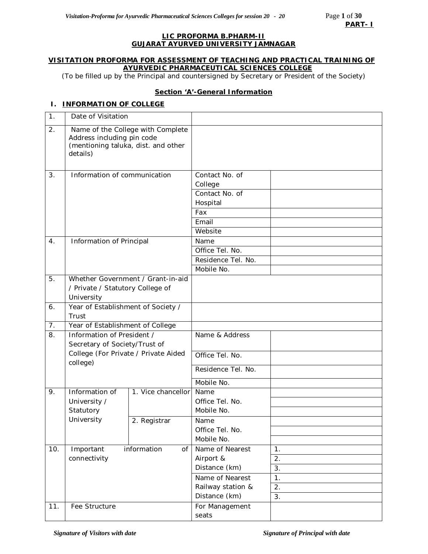#### **LIC PROFORMA B.PHARM-II GUJARAT AYURVED UNIVERSITY JAMNAGAR**

#### **VISITATION PROFORMA FOR ASSESSMENT OF TEACHING AND PRACTICAL TRAINING OF AYURVEDIC PHARMACEUTICAL SCIENCES COLLEGE**

*(*To be filled up by the Principal and countersigned by Secretary or President of the Society)

## **Section 'A'-General Information**

## **I. INFORMATION OF COLLEGE**

| $\mathbf 1$ . | Date of Visitation                                          |                                                                          |                            |                  |
|---------------|-------------------------------------------------------------|--------------------------------------------------------------------------|----------------------------|------------------|
| 2.            | Address including pin code<br>details)                      | Name of the College with Complete<br>(mentioning taluka, dist. and other |                            |                  |
| 3.            | Information of communication                                |                                                                          | Contact No. of<br>College  |                  |
|               |                                                             |                                                                          | Contact No. of<br>Hospital |                  |
|               |                                                             |                                                                          | Fax                        |                  |
|               |                                                             |                                                                          | Email                      |                  |
|               |                                                             |                                                                          | Website                    |                  |
| 4.            | Information of Principal                                    |                                                                          | Name                       |                  |
|               |                                                             |                                                                          | Office Tel. No.            |                  |
|               |                                                             |                                                                          | Residence Tel. No.         |                  |
|               |                                                             |                                                                          | Mobile No.                 |                  |
| 5.            |                                                             | Whether Government / Grant-in-aid                                        |                            |                  |
|               | / Private / Statutory College of                            |                                                                          |                            |                  |
|               | University                                                  |                                                                          |                            |                  |
| 6.            | Year of Establishment of Society /                          |                                                                          |                            |                  |
|               | Trust                                                       |                                                                          |                            |                  |
| 7.            | Year of Establishment of College                            |                                                                          |                            |                  |
| 8.            | Information of President /<br>Secretary of Society/Trust of |                                                                          | Name & Address             |                  |
|               | college)                                                    | College (For Private / Private Aided                                     | Office Tel. No.            |                  |
|               |                                                             |                                                                          | Residence Tel. No.         |                  |
|               |                                                             |                                                                          | Mobile No.                 |                  |
| 9.            | Information of                                              | 1. Vice chancellor                                                       | Name                       |                  |
|               | University /                                                |                                                                          | Office Tel. No.            |                  |
|               | Statutory                                                   |                                                                          | Mobile No.                 |                  |
|               | University                                                  | 2. Registrar                                                             | Name                       |                  |
|               |                                                             |                                                                          | Office Tel. No.            |                  |
|               |                                                             |                                                                          | Mobile No.                 |                  |
| 10.           | Important                                                   | information<br>of                                                        | Name of Nearest            | 1.               |
|               | connectivity                                                |                                                                          | Airport &                  | 2.               |
|               |                                                             |                                                                          | Distance (km)              | 3.               |
|               |                                                             |                                                                          | Name of Nearest            | 1.               |
|               |                                                             |                                                                          | Railway station &          | $\overline{2}$ . |
|               |                                                             |                                                                          | Distance (km)              | 3.               |
| 11.           | Fee Structure                                               |                                                                          | For Management             |                  |
|               |                                                             |                                                                          | seats                      |                  |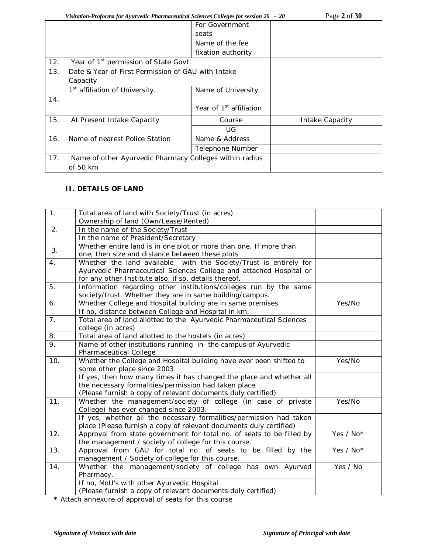# *Visitation-Proforma for Ayurvedic Pharmaceutical Sciences Colleges for session 20 - 20* Page **2** of **30**

|     | visuation-Frojorma for Ayarveate Fharmaceutical Sciences Coueges for session 20 - 20 |                                     | $1$ age $\neq$ 01 JU |
|-----|--------------------------------------------------------------------------------------|-------------------------------------|----------------------|
|     |                                                                                      | For Government                      |                      |
|     |                                                                                      | seats                               |                      |
|     |                                                                                      | Name of the fee                     |                      |
|     |                                                                                      | fixation authority                  |                      |
| 12. | Year of 1 <sup>st</sup> permission of State Govt.                                    |                                     |                      |
| 13. | Date & Year of First Permission of GAU with Intake                                   |                                     |                      |
|     | Capacity                                                                             |                                     |                      |
|     | 1 <sup>st</sup> affiliation of University.                                           | Name of University                  |                      |
| 14. |                                                                                      |                                     |                      |
|     |                                                                                      | Year of 1 <sup>st</sup> affiliation |                      |
| 15. | At Present Intake Capacity                                                           | Course                              | Intake Capacity      |
|     |                                                                                      | UG                                  |                      |
| 16. | Name of nearest Police Station                                                       | Name & Address                      |                      |
|     |                                                                                      | Telephone Number                    |                      |
| 17. | Name of other Ayurvedic Pharmacy Colleges within radius                              |                                     |                      |
|     | of 50 km                                                                             |                                     |                      |
|     |                                                                                      |                                     |                      |

# **II. DETAILS OF LAND**

| 1.  | Total area of land with Society/Trust (in acres)                      |           |
|-----|-----------------------------------------------------------------------|-----------|
|     | Ownership of land (Own/Lease/Rented)                                  |           |
| 2.  | In the name of the Society/Trust                                      |           |
|     | In the name of President/Secretary                                    |           |
|     | Whether entire land is in one plot or more than one. If more than     |           |
| 3.  | one, then size and distance between these plots                       |           |
| 4.  | Whether the land available with the Society/Trust is entirely for     |           |
|     | Ayurvedic Pharmaceutical Sciences College and attached Hospital or    |           |
|     | for any other Institute also, if so, details thereof.                 |           |
| 5.  | Information regarding other institutions/colleges run by the same     |           |
|     | society/trust. Whether they are in same building/campus.              |           |
| 6.  | Whether College and Hospital building are in same premises            | Yes/No    |
|     | If no, distance between College and Hospital in km.                   |           |
| 7.  | Total area of land allotted to the Ayurvedic Pharmaceutical Sciences  |           |
|     | college (in acres)                                                    |           |
| 8.  | Total area of land allotted to the hostels (in acres)                 |           |
| 9.  | Name of other institutions running in the campus of Ayurvedic         |           |
|     | Pharmaceutical College                                                |           |
| 10. | Whether the College and Hospital building have ever been shifted to   | Yes/No    |
|     | some other place since 2003.                                          |           |
|     | If yes, then how many times it has changed the place and whether all  |           |
|     | the necessary formalities/permission had taken place                  |           |
|     | (Please furnish a copy of relevant documents duly certified)          |           |
| 11. | Whether the management/society of college (in case of private         | Yes/No    |
|     | College) has ever changed since 2003.                                 |           |
|     | If yes, whether all the necessary formalities/permission had taken    |           |
|     | place (Please furnish a copy of relevant documents duly certified)    |           |
| 12. | Approval from state government for total no. of seats to be filled by | Yes / No* |
|     | the management / society of college for this course.                  |           |
| 13. | Approval from GAU for total no. of seats to be filled by the          | Yes / No* |
|     | management / Society of college for this course.                      |           |
| 14. | Whether the management/society of college has own Ayurved             | Yes / No  |
|     | Pharmacy.                                                             |           |
|     | If no, MoU's with other Ayurvedic Hospital                            |           |
|     | (Please furnish a copy of relevant documents duly certified)          |           |

**\*** Attach annexure of approval of seats for this course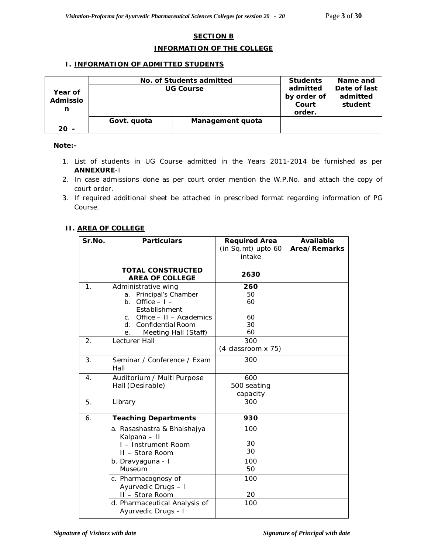## **SECTION B**

#### **INFORMATION OF THE COLLEGE**

#### **I. INFORMATION OF ADMITTED STUDENTS**

|                          | No. of Students admitted | <b>Students</b>                            | Name and                            |  |
|--------------------------|--------------------------|--------------------------------------------|-------------------------------------|--|
| Year of<br>Admissio<br>n | <b>UG Course</b>         | admitted<br>by order of<br>Court<br>order. | Date of last<br>admitted<br>student |  |
|                          | Govt. quota              | Management quota                           |                                     |  |
| 20 -                     |                          |                                            |                                     |  |

#### *Note:-*

- *1. List of students in UG Course admitted in the Years 2011-2014 be furnished as per ANNEXURE-I*
- *2. In case admissions done as per court order mention the W.P.No. and attach the copy of court order.*
- *3. If required additional sheet be attached in prescribed format regarding information of PG Course.*

## **II. AREA OF COLLEGE**

| Sr.No.         | <b>Particulars</b>                                                                           | <b>Required Area</b><br>(in Sq.mt) upto 60<br>intake | Available<br>Area/Remarks |
|----------------|----------------------------------------------------------------------------------------------|------------------------------------------------------|---------------------------|
|                | <b>TOTAL CONSTRUCTED</b><br><b>AREA OF COLLEGE</b>                                           | 2630                                                 |                           |
| 1 <sub>1</sub> | Administrative wing<br>a. Principal's Chamber<br>Office $-1$ $-$<br>$b_{1}$<br>Establishment | 260<br>50<br>60                                      |                           |
|                | c. Office $-11 -$ Academics<br><b>Confidential Room</b><br>d.<br>Meeting Hall (Staff)<br>е.  | 60<br>30<br>60                                       |                           |
| 2.             | Lecturer Hall                                                                                | 300<br>(4 classroom x 75)                            |                           |
| 3.             | Seminar / Conference / Exam<br>Hall                                                          | 300                                                  |                           |
| 4.             | Auditorium / Multi Purpose<br>Hall (Desirable)                                               | 600<br>500 seating<br>capacity                       |                           |
| 5.             | Library                                                                                      | 300                                                  |                           |
| 6.             | <b>Teaching Departments</b>                                                                  | 930                                                  |                           |
|                | a. Rasashastra & Bhaishajya<br>Kalpana - II                                                  | 100                                                  |                           |
|                | I - Instrument Room<br>II - Store Room                                                       | 30<br>30                                             |                           |
|                | b. Dravyaguna - I<br>Museum                                                                  | 100<br>50                                            |                           |
|                | c. Pharmacognosy of<br>Ayurvedic Drugs - I                                                   | 100                                                  |                           |
|                | II - Store Room<br>d. Pharmaceutical Analysis of<br>Ayurvedic Drugs - I                      | 20<br>100                                            |                           |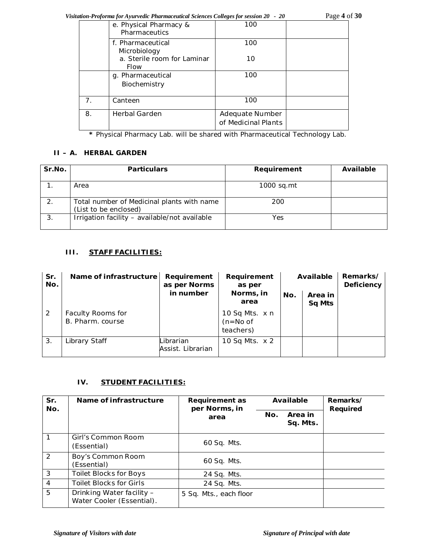*Visitation-Proforma for Ayurvedic Pharmaceutical Sciences Colleges for session 20 - 20* Page **4** of **30**

|                | e. Physical Pharmacy &<br>Pharmaceutics    | 100                                    |  |
|----------------|--------------------------------------------|----------------------------------------|--|
|                | f. Pharmaceutical<br>Microbiology          | 100                                    |  |
|                | a. Sterile room for Laminar<br><b>Flow</b> | 10                                     |  |
|                | g. Pharmaceutical<br>Biochemistry          | 100                                    |  |
| 7 <sub>1</sub> | Canteen                                    | 100                                    |  |
| 8.             | <b>Herbal Garden</b>                       | Adequate Number<br>of Medicinal Plants |  |

**\*** Physical Pharmacy Lab. will be shared with Pharmaceutical Technology Lab.

# **II – A. HERBAL GARDEN**

| Sr.No. | <b>Particulars</b>                                                  | Requirement | Available |
|--------|---------------------------------------------------------------------|-------------|-----------|
|        | Area                                                                | 1000 sq.mt  |           |
|        | Total number of Medicinal plants with name<br>(List to be enclosed) | 200         |           |
| 3.     | Irrigation facility - available/not available                       | Yes         |           |

# **III. STAFF FACILITIES:**

| Sr.<br>No. | Name of infrastructure                | Requirement<br>as per Norms    | Requirement<br>as per                     |     | Available                | Remarks/<br>Deficiency |
|------------|---------------------------------------|--------------------------------|-------------------------------------------|-----|--------------------------|------------------------|
|            |                                       | in number                      | Norms, in<br>area                         | No. | Area in<br><b>Sq Mts</b> |                        |
| 2          | Faculty Rooms for<br>B. Pharm. course |                                | 10 Sq Mts. x n<br>$(n=No of$<br>teachers) |     |                          |                        |
| 3.         | Library Staff                         | Librarian<br>Assist. Librarian | 10 Sq Mts. x 2                            |     |                          |                        |

# **IV. STUDENT FACILITIES:**

| Sr.<br>No.    | Name of infrastructure                                 | <b>Requirement as</b><br>per Norms, in |     | Available           | Remarks/<br>Required |
|---------------|--------------------------------------------------------|----------------------------------------|-----|---------------------|----------------------|
|               |                                                        | area                                   | No. | Area in<br>Sq. Mts. |                      |
|               | Girl's Common Room<br>(Essential)                      | 60 Sq. Mts.                            |     |                     |                      |
| $\mathcal{P}$ | Boy's Common Room<br>(Essential)                       | 60 Sq. Mts.                            |     |                     |                      |
| 3             | <b>Toilet Blocks for Boys</b>                          | 24 Sq. Mts.                            |     |                     |                      |
| 4             | <b>Toilet Blocks for Girls</b>                         | 24 Sq. Mts.                            |     |                     |                      |
| 5             | Drinking Water facility -<br>Water Cooler (Essential). | 5 Sq. Mts., each floor                 |     |                     |                      |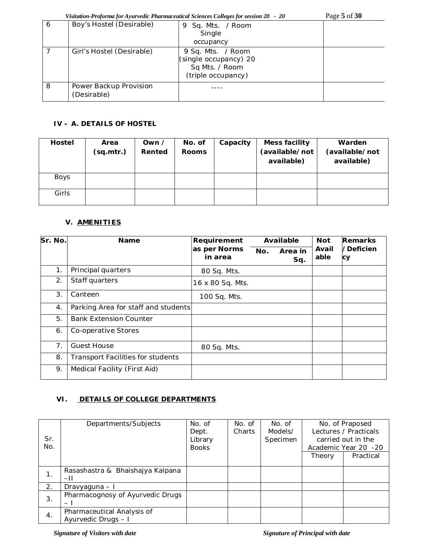*Visitation-Proforma for Ayurvedic Pharmaceutical Sciences Colleges for session 20 - 20* Page **5** of **30** 6 | Boy's Hostel (Desirable) | 9 Sq. Mts. / Room Single occupancy 7 Girl's Hostel (Desirable) 9 Sq. Mts. / Room (single occupancy) 20 Sq Mts. / Room (triple occupancy) 8 Power Backup Provision ----

# **IV – A. DETAILS OF HOSTEL**

(Desirable)

| Hostel | Area<br>(sq.mtr.) | Own $\prime$<br>Rented | No. of<br><b>Rooms</b> | Capacity | Mess facility<br>(available/not<br>available) | Warden<br>(available/not<br>available) |
|--------|-------------------|------------------------|------------------------|----------|-----------------------------------------------|----------------------------------------|
| Boys   |                   |                        |                        |          |                                               |                                        |
| Girls  |                   |                        |                        |          |                                               |                                        |

# **V. AMENITIES**

| Sr. No. | <b>Name</b>                              | Requirement             | Available |                | <b>Not</b>    | <b>Remarks</b>  |
|---------|------------------------------------------|-------------------------|-----------|----------------|---------------|-----------------|
|         |                                          | as per Norms<br>in area | No.       | Area in<br>Sq. | Avail<br>able | /Deficien<br>Сy |
| 1.      | Principal quarters                       | 80 Sq. Mts.             |           |                |               |                 |
| 2.      | Staff quarters                           | 16 x 80 Sq. Mts.        |           |                |               |                 |
| 3.      | Canteen                                  | 100 Sq. Mts.            |           |                |               |                 |
| 4.      | Parking Area for staff and students      |                         |           |                |               |                 |
| 5.      | <b>Bank Extension Counter</b>            |                         |           |                |               |                 |
| 6.      | Co-operative Stores                      |                         |           |                |               |                 |
| 7.      | <b>Guest House</b>                       | 80 Sq. Mts.             |           |                |               |                 |
| 8.      | <b>Transport Facilities for students</b> |                         |           |                |               |                 |
| 9.      | Medical Facility (First Aid)             |                         |           |                |               |                 |

# **VI. DETAILS OF COLLEGE DEPARTMENTS**

|     | Departments/Subjects             | No. of       | No. of | No. of   |        | No. of Praposed       |
|-----|----------------------------------|--------------|--------|----------|--------|-----------------------|
|     |                                  | Dept.        | Charts | Models/  |        | Lectures / Practicals |
| Sr. |                                  | Library      |        | Specimen |        | carried out in the    |
| No. |                                  | <b>Books</b> |        |          |        | Academic Year 20 -20  |
|     |                                  |              |        |          | Theory | Practical             |
|     |                                  |              |        |          |        |                       |
|     | Rasashastra & Bhaishajya Kalpana |              |        |          |        |                       |
| 1.  | $-11$                            |              |        |          |        |                       |
| 2.  | Dravyaguna – I                   |              |        |          |        |                       |
| 3.  | Pharmacognosy of Ayurvedic Drugs |              |        |          |        |                       |
|     | $\overline{\phantom{0}}$         |              |        |          |        |                       |
|     | Pharmaceutical Analysis of       |              |        |          |        |                       |
| 4.  | Ayurvedic Drugs - I              |              |        |          |        |                       |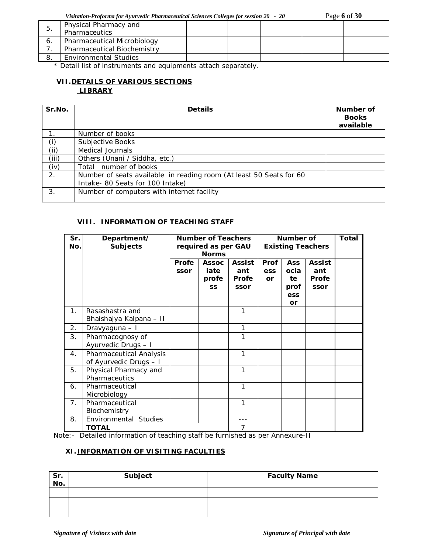*Visitation-Proforma for Ayurvedic Pharmaceutical Sciences Colleges for session 20 - 20* Page **6** of **30**

| b. | Physical Pharmacy and        |  |  |  |
|----|------------------------------|--|--|--|
|    | Pharmaceutics                |  |  |  |
| о. | Pharmaceutical Microbiology  |  |  |  |
|    | Pharmaceutical Biochemistry  |  |  |  |
|    | <b>Environmental Studies</b> |  |  |  |
|    |                              |  |  |  |

\* Detail list of instruments and equipments attach separately.

# **VII.DETAILS OF VARIOUS SECTIONS LIBRARY**

| Sr.No. | <b>Details</b>                                                                                          | Number of<br><b>Books</b><br>available |
|--------|---------------------------------------------------------------------------------------------------------|----------------------------------------|
|        | Number of books                                                                                         |                                        |
| (i)    | Subjective Books                                                                                        |                                        |
| (ii)   | Medical Journals                                                                                        |                                        |
| (iii)  | Others (Unani / Siddha, etc.)                                                                           |                                        |
| (iv)   | Total number of books                                                                                   |                                        |
| 2.     | Number of seats available in reading room (At least 50 Seats for 60<br>Intake- 80 Seats for 100 Intake) |                                        |
| 3.     | Number of computers with internet facility                                                              |                                        |

# **VIII. INFORMATION OF TEACHING STAFF**

| Sr.<br>No.     | Department/<br><b>Subjects</b>                    | <b>Number of Teachers</b><br>required as per GAU<br><b>Norms</b> |                                            | Number of<br><b>Existing Teachers</b>        |                                 |                                               | <b>Total</b>                          |  |
|----------------|---------------------------------------------------|------------------------------------------------------------------|--------------------------------------------|----------------------------------------------|---------------------------------|-----------------------------------------------|---------------------------------------|--|
|                |                                                   | Profe<br>ssor                                                    | <b>Assoc</b><br>iate<br>profe<br><b>SS</b> | <b>Assist</b><br>ant<br><b>Profe</b><br>ssor | <b>Prof</b><br>ess<br><b>or</b> | <b>Ass</b><br>ocia<br>te<br>prof<br>ess<br>or | <b>Assist</b><br>ant<br>Profe<br>ssor |  |
| 1 <sub>1</sub> | Rasashastra and<br>Bhaishajya Kalpana - II        |                                                                  |                                            | 1                                            |                                 |                                               |                                       |  |
| 2.             | Dravyaguna - I                                    |                                                                  |                                            | 1                                            |                                 |                                               |                                       |  |
| 3.             | Pharmacognosy of<br>Ayurvedic Drugs - I           |                                                                  |                                            | 1                                            |                                 |                                               |                                       |  |
| 4 <sub>1</sub> | Pharmaceutical Analysis<br>of Ayurvedic Drugs - I |                                                                  |                                            | 1                                            |                                 |                                               |                                       |  |
| 5.             | Physical Pharmacy and<br>Pharmaceutics            |                                                                  |                                            | 1                                            |                                 |                                               |                                       |  |
| 6.             | Pharmaceutical<br>Microbiology                    |                                                                  |                                            | 1                                            |                                 |                                               |                                       |  |
| 7.             | Pharmaceutical<br>Biochemistry                    |                                                                  |                                            | 1                                            |                                 |                                               |                                       |  |
| 8.             | Environmental Studies                             |                                                                  |                                            |                                              |                                 |                                               |                                       |  |
|                | <b>TOTAL</b>                                      |                                                                  |                                            | 7                                            |                                 |                                               |                                       |  |

Note:- Detailed information of teaching staff be furnished as per Annexure-II

# **XI. INFORMATION OF VISITING FACULTIES**

| Sr.<br>No. | Subject | <b>Faculty Name</b> |
|------------|---------|---------------------|
|            |         |                     |
|            |         |                     |
|            |         |                     |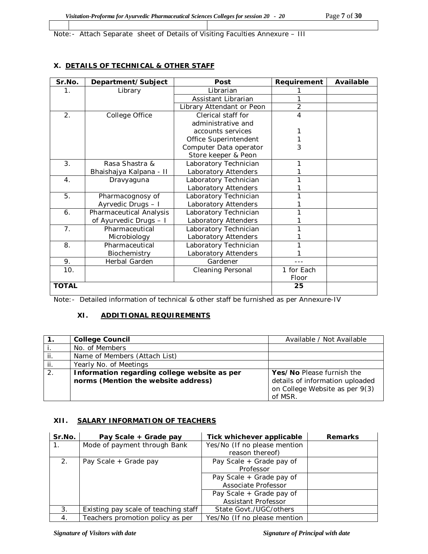Note:- Attach Separate sheet of Details of Visiting Faculties Annexure – III

# **X. DETAILS OF TECHNICAL & OTHER STAFF**

| Sr.No.         | Department/Subject      | Post                      | Requirement | Available |
|----------------|-------------------------|---------------------------|-------------|-----------|
| 1.             | Library                 | Librarian                 |             |           |
|                |                         | Assistant Librarian       |             |           |
|                |                         | Library Attendant or Peon | 2           |           |
| 2.             | College Office          | Clerical staff for        | 4           |           |
|                |                         | administrative and        |             |           |
|                |                         | accounts services         |             |           |
|                |                         | Office Superintendent     |             |           |
|                |                         | Computer Data operator    | 3           |           |
|                |                         | Store keeper & Peon       |             |           |
| 3.             | Rasa Shastra &          | Laboratory Technician     |             |           |
|                | Bhaishajya Kalpana - II | Laboratory Attenders      |             |           |
| $\mathbf{4}$ . | Dravyaguna              | Laboratory Technician     |             |           |
|                |                         | Laboratory Attenders      |             |           |
| 5.             | Pharmacognosy of        | Laboratory Technician     |             |           |
|                | Ayrvedic Drugs - I      | Laboratory Attenders      |             |           |
| 6.             | Pharmaceutical Analysis | Laboratory Technician     |             |           |
|                | of Ayurvedic Drugs - I  | Laboratory Attenders      |             |           |
| 7.             | Pharmaceutical          | Laboratory Technician     |             |           |
|                | Microbiology            | Laboratory Attenders      |             |           |
| 8.             | Pharmaceutical          | Laboratory Technician     |             |           |
|                | Biochemistry            | Laboratory Attenders      |             |           |
| 9.             | Herbal Garden           | Gardener                  |             |           |
| 10.            |                         | <b>Cleaning Personal</b>  | 1 for Each  |           |
|                |                         |                           | Floor       |           |
| <b>TOTAL</b>   |                         |                           | 25          |           |

Note:- Detailed information of technical & other staff be furnished as per Annexure-IV

# **XI. ADDITIONAL REQUIREMENTS**

|     | <b>College Council</b>                                                              | Available / Not Available                                                                                 |
|-----|-------------------------------------------------------------------------------------|-----------------------------------------------------------------------------------------------------------|
|     | No. of Members                                                                      |                                                                                                           |
| ij. | Name of Members (Attach List)                                                       |                                                                                                           |
| ji. | Yearly No. of Meetings                                                              |                                                                                                           |
| 2.  | Information regarding college website as per<br>norms (Mention the website address) | Yes/No Please furnish the<br>details of information uploaded<br>on College Website as per 9(3)<br>of MSR. |

# **XII. SALARY INFORMATION OF TEACHERS**

| Sr.No.      | Pay Scale + Grade pay                | Tick whichever applicable    | <b>Remarks</b> |
|-------------|--------------------------------------|------------------------------|----------------|
| $1_{\cdot}$ | Mode of payment through Bank         | Yes/No (If no please mention |                |
|             |                                      | reason thereof)              |                |
| 2.          | Pay Scale + Grade pay                | Pay Scale + Grade pay of     |                |
|             |                                      | Professor                    |                |
|             |                                      | Pay Scale + Grade pay of     |                |
|             |                                      | Associate Professor          |                |
|             |                                      | Pay Scale + Grade pay of     |                |
|             |                                      | Assistant Professor          |                |
| 3.          | Existing pay scale of teaching staff | State Govt./UGC/others       |                |
| 4.          | Teachers promotion policy as per     | Yes/No (If no please mention |                |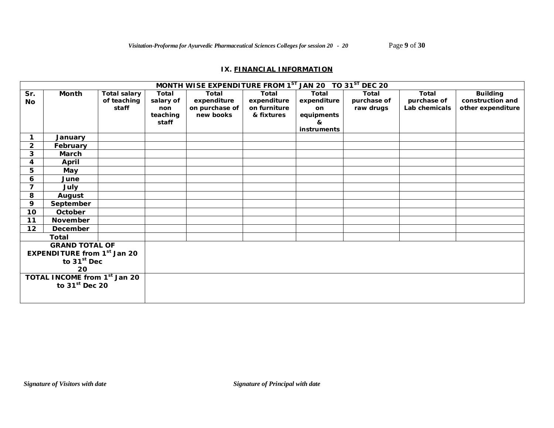## **IX. FINANCIAL INFORMATION**

|                         |                                          |                     |           | MONTH WISE EXPENDITURE FROM 1 <sup>ST</sup> JAN 20 TO 31 <sup>ST</sup> DEC 20 |              |              |              |               |                   |
|-------------------------|------------------------------------------|---------------------|-----------|-------------------------------------------------------------------------------|--------------|--------------|--------------|---------------|-------------------|
| Sr.                     | Month                                    | <b>Total salary</b> | Total     | Total                                                                         | Total        | <b>Total</b> | <b>Total</b> | <b>Total</b>  | <b>Building</b>   |
| <b>No</b>               |                                          | of teaching         | salary of | expenditure                                                                   | expenditure  | expenditure  | purchase of  | purchase of   | construction and  |
|                         |                                          | staff               | non       | on purchase of                                                                | on furniture | on           | raw drugs    | Lab chemicals | other expenditure |
|                         |                                          |                     | teaching  | new books                                                                     | & fixtures   | equipments   |              |               |                   |
|                         |                                          |                     | staff     |                                                                               |              | &            |              |               |                   |
|                         |                                          |                     |           |                                                                               |              | instruments  |              |               |                   |
| 1                       | January                                  |                     |           |                                                                               |              |              |              |               |                   |
| $\overline{2}$          | February                                 |                     |           |                                                                               |              |              |              |               |                   |
| 3                       | March                                    |                     |           |                                                                               |              |              |              |               |                   |
| 4                       | April                                    |                     |           |                                                                               |              |              |              |               |                   |
| 5                       | May                                      |                     |           |                                                                               |              |              |              |               |                   |
| 6                       | June                                     |                     |           |                                                                               |              |              |              |               |                   |
| $\overline{7}$          | July                                     |                     |           |                                                                               |              |              |              |               |                   |
| 8                       | August                                   |                     |           |                                                                               |              |              |              |               |                   |
| 9                       | September                                |                     |           |                                                                               |              |              |              |               |                   |
| 10                      | October                                  |                     |           |                                                                               |              |              |              |               |                   |
| 11                      | November                                 |                     |           |                                                                               |              |              |              |               |                   |
| 12                      | December                                 |                     |           |                                                                               |              |              |              |               |                   |
|                         | Total                                    |                     |           |                                                                               |              |              |              |               |                   |
|                         | <b>GRAND TOTAL OF</b>                    |                     |           |                                                                               |              |              |              |               |                   |
|                         | <b>EXPENDITURE from 1st Jan 20</b>       |                     |           |                                                                               |              |              |              |               |                   |
| to 31 <sup>st</sup> Dec |                                          |                     |           |                                                                               |              |              |              |               |                   |
| 20                      |                                          |                     |           |                                                                               |              |              |              |               |                   |
|                         | TOTAL INCOME from 1 <sup>st</sup> Jan 20 |                     |           |                                                                               |              |              |              |               |                   |
|                         | to $31st$ Dec 20                         |                     |           |                                                                               |              |              |              |               |                   |
|                         |                                          |                     |           |                                                                               |              |              |              |               |                   |
|                         |                                          |                     |           |                                                                               |              |              |              |               |                   |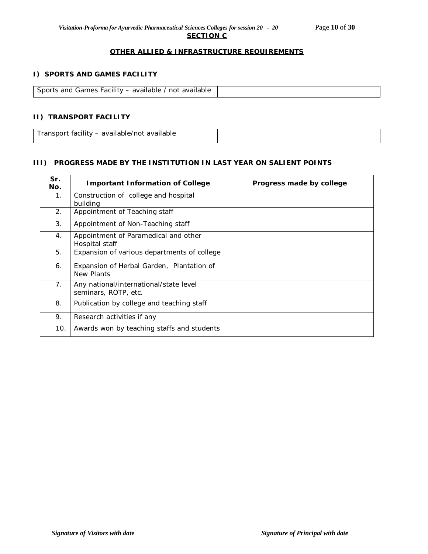## **OTHER ALLIED & INFRASTRUCTURE REQUIREMENTS**

#### **I) SPORTS AND GAMES FACILITY**

| Sports and Games Facility – available / not available |  |
|-------------------------------------------------------|--|

## **II) TRANSPORT FACILITY**

Transport facility – available/not available

## **III) PROGRESS MADE BY THE INSTITUTION IN LAST YEAR ON SALIENT POINTS**

| Sr.<br>No.     | <b>Important Information of College</b>                        | Progress made by college |  |  |
|----------------|----------------------------------------------------------------|--------------------------|--|--|
| 1.             | Construction of college and hospital<br>building               |                          |  |  |
| 2.             | Appointment of Teaching staff                                  |                          |  |  |
| 3 <sub>1</sub> | Appointment of Non-Teaching staff                              |                          |  |  |
| 4.             | Appointment of Paramedical and other<br>Hospital staff         |                          |  |  |
| 5.             | Expansion of various departments of college                    |                          |  |  |
| 6.             | Expansion of Herbal Garden, Plantation of<br>New Plants        |                          |  |  |
| 7.             | Any national/international/state level<br>seminars, ROTP, etc. |                          |  |  |
| 8.             | Publication by college and teaching staff                      |                          |  |  |
| 9.             | Research activities if any                                     |                          |  |  |
| 10.            | Awards won by teaching staffs and students                     |                          |  |  |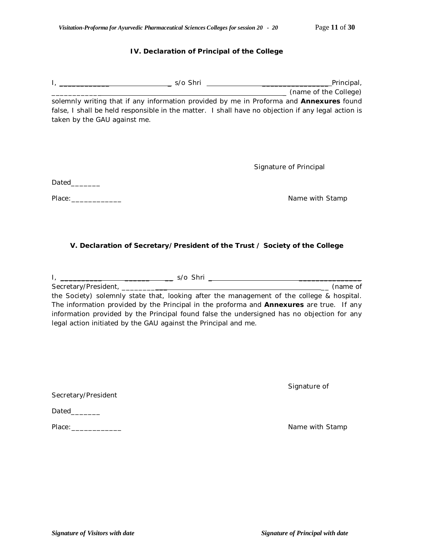## **IV. Declaration of Principal of the College**

|                                                                                                                                                                                                                                | Principal,<br><u> 1989 - Johann Barn, mars ann an t-Amhainn an t-Amhainn an t-Amhainn an t-Amhainn an t-Amhainn an t-Amhainn an</u> |
|--------------------------------------------------------------------------------------------------------------------------------------------------------------------------------------------------------------------------------|-------------------------------------------------------------------------------------------------------------------------------------|
|                                                                                                                                                                                                                                | __ (name of the College)                                                                                                            |
|                                                                                                                                                                                                                                | solemnly writing that if any information provided by me in Proforma and Annexures found                                             |
| taken by the GAU against me.                                                                                                                                                                                                   | false, I shall be held responsible in the matter. I shall have no objection if any legal action is                                  |
|                                                                                                                                                                                                                                |                                                                                                                                     |
|                                                                                                                                                                                                                                | Signature of Principal                                                                                                              |
| Dated                                                                                                                                                                                                                          |                                                                                                                                     |
| Place: The contract of the contract of the contract of the contract of the contract of the contract of the contract of the contract of the contract of the contract of the contract of the contract of the contract of the con | Name with Stamp                                                                                                                     |
|                                                                                                                                                                                                                                |                                                                                                                                     |
|                                                                                                                                                                                                                                |                                                                                                                                     |
|                                                                                                                                                                                                                                | V. Declaration of Secretary/President of the Trust / Society of the College                                                         |

| s/o Shri<br><b>I</b> and the second contract the second contract of the second contract of the second contract of the second contract of the second contract of the second contract of the second contract of the second contract of the second |
|-------------------------------------------------------------------------------------------------------------------------------------------------------------------------------------------------------------------------------------------------|
| Secretary/President, ________<br>(name of                                                                                                                                                                                                       |
| the Society) solemnly state that, looking after the management of the college & hospital.                                                                                                                                                       |
| The information provided by the Principal in the proforma and <b>Annexures</b> are true. If any                                                                                                                                                 |
| information provided by the Principal found false the undersigned has no objection for any                                                                                                                                                      |
| legal action initiated by the GAU against the Principal and me.                                                                                                                                                                                 |

Signature of

Secretary/President

Place:\_\_\_\_\_\_\_\_\_\_\_\_ Name with Stamp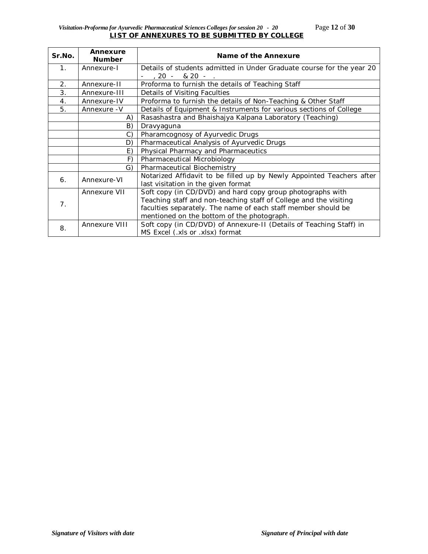## *Visitation-Proforma for Ayurvedic Pharmaceutical Sciences Colleges for session 20 - 20* Page **12** of **30 LIST OF ANNEXURES TO BE SUBMITTED BY COLLEGE**

| Sr.No.         | Annexure<br><b>Number</b> | Name of the Annexure                                                  |  |  |  |  |  |
|----------------|---------------------------|-----------------------------------------------------------------------|--|--|--|--|--|
| 1 <sub>1</sub> | Annexure-I                | Details of students admitted in Under Graduate course for the year 20 |  |  |  |  |  |
|                |                           | $-$ , 20 $-$ & 20 $-$ .                                               |  |  |  |  |  |
| 2.             | Annexure-II               | Proforma to furnish the details of Teaching Staff                     |  |  |  |  |  |
| 3.             | Annexure-III              | Details of Visiting Faculties                                         |  |  |  |  |  |
| 4.             | Annexure-IV               | Proforma to furnish the details of Non-Teaching & Other Staff         |  |  |  |  |  |
| 5.             | Annexure - V              | Details of Equipment & Instruments for various sections of College    |  |  |  |  |  |
|                | A)                        | Rasashastra and Bhaishajya Kalpana Laboratory (Teaching)              |  |  |  |  |  |
|                | B)                        | Dravyaguna                                                            |  |  |  |  |  |
|                | C)                        | Pharamcognosy of Ayurvedic Drugs                                      |  |  |  |  |  |
|                | D)                        | Pharmaceutical Analysis of Ayurvedic Drugs                            |  |  |  |  |  |
|                | E)                        | Physical Pharmacy and Pharmaceutics                                   |  |  |  |  |  |
|                | F)                        | Pharmaceutical Microbiology                                           |  |  |  |  |  |
|                | G)                        | Pharmaceutical Biochemistry                                           |  |  |  |  |  |
| 6.             | Annexure-VI               | Notarized Affidavit to be filled up by Newly Appointed Teachers after |  |  |  |  |  |
|                |                           | last visitation in the given format                                   |  |  |  |  |  |
|                | Annexure VII              | Soft copy (in CD/DVD) and hard copy group photographs with            |  |  |  |  |  |
| 7.             |                           | Teaching staff and non-teaching staff of College and the visiting     |  |  |  |  |  |
|                |                           | faculties separately. The name of each staff member should be         |  |  |  |  |  |
|                |                           | mentioned on the bottom of the photograph.                            |  |  |  |  |  |
| 8.             | Annexure VIII             | Soft copy (in CD/DVD) of Annexure-II (Details of Teaching Staff) in   |  |  |  |  |  |
|                |                           | MS Excel (.xls or .xlsx) format                                       |  |  |  |  |  |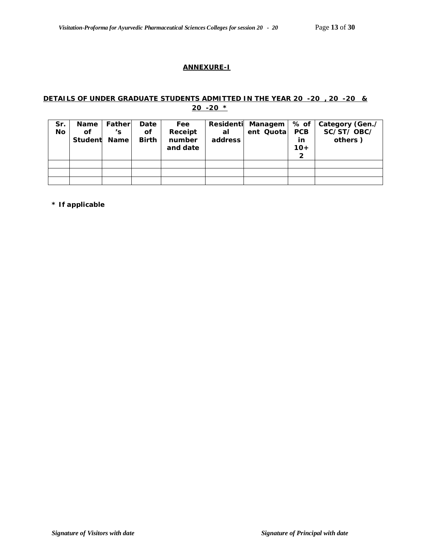# **ANNEXURE-I**

## **DETAILS OF UNDER GRADUATE STUDENTS ADMITTED IN THE YEAR 20 -20 , 20 -20 & 20 -20 \***

| Sr.<br>No | Name<br>οf<br>Student | Father<br>'s<br><b>Name</b> | Date<br>Οf<br><b>Birth</b> | Fee<br>Receipt<br>number<br>and date | al<br>address | Residenti Managem   % of  <br>ent Quotal | <b>PCB</b><br>in<br>$10+$<br>2 | Category (Gen./<br>SC/ST/OBC/<br>others) |
|-----------|-----------------------|-----------------------------|----------------------------|--------------------------------------|---------------|------------------------------------------|--------------------------------|------------------------------------------|
|           |                       |                             |                            |                                      |               |                                          |                                |                                          |
|           |                       |                             |                            |                                      |               |                                          |                                |                                          |
|           |                       |                             |                            |                                      |               |                                          |                                |                                          |

**\* If applicable**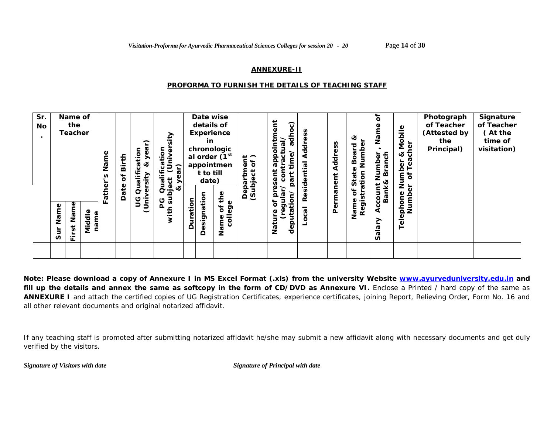#### **ANNEXURE-II**

#### *PROFORMA TO FURNISH THE DETAILS OF TEACHING STAFF*

| Sr.<br>No<br>$\bullet$ | Name of<br>the<br><b>Teacher</b> |        | Name<br>n  | Birth<br>٥ŕ | ⌒<br>ation<br>ق<br>త<br>lific<br>sity<br>σ | sity<br>(Univer<br>noi.<br>cati<br>ີ ແ<br>≣<br>$\overline{\mathbf{y}}$<br>bject<br>& ye<br>Qual |          | details of<br>in<br>t to till<br>date) | Date wise<br><b>Experience</b><br>chronologic<br>al order (1st<br>appointmen | $\frac{1}{6}$<br>Έ<br>ಕ<br>Φ<br>ar<br><u>්ට</u> | ក្ដ<br>$\widehat{\text{c}}$<br>adh<br>a<br>ā<br>ā<br>ācti<br>e<br>E<br>ءِ<br>௨<br>n.<br>ārt | SS<br>Ф<br><b>Addr</b><br>ಸ<br>Residenti | SS<br>Addre | ళ<br>്മ<br>Board<br>State<br>atior | ្ភ<br>Φ<br>Nam<br>anch<br>৳<br>؋<br>മ<br>∞ | Mobile<br>cher<br>ళ<br>ᢐ<br>ber<br>قم<br><u>ז</u><br>פ<br>Ⴆ<br>z | Photograph<br>of Teacher<br>(Attested by<br>the<br>Principal) | Signature<br>of Teacher<br>(At the<br>time of<br>visitation) |
|------------------------|----------------------------------|--------|------------|-------------|--------------------------------------------|-------------------------------------------------------------------------------------------------|----------|----------------------------------------|------------------------------------------------------------------------------|-------------------------------------------------|---------------------------------------------------------------------------------------------|------------------------------------------|-------------|------------------------------------|--------------------------------------------|------------------------------------------------------------------|---------------------------------------------------------------|--------------------------------------------------------------|
|                        | Name<br>Name<br>rst<br>Ū<br>匸    | Middle | ather<br>╙ | Date        | ā<br>$\bar{\mathbb{Q}}$<br>9<br>C<br>jai   | ms<br>ပ<br>군                                                                                    | Duration | esignation<br>≏                        | the<br>college<br>ð<br>Φ<br>Name                                             | မိ<br>(3u)<br>≏                                 | $\overline{\omega}$<br>$\frac{1}{2}$<br>đ<br>ה<br>deputat<br>ၑ<br>Nati                      | $\overline{3}$                           | Permanent   | ৳<br>≖<br>Regist<br>Name           | Bank,<br>۰<br>⋖<br>↗<br>ala<br>S           | έ<br>phone<br>Numbe<br>Tele                                      |                                                               |                                                              |

**Note: Please download a copy of Annexure I in MS Excel Format (.xls) from the university Website www.ayurveduniversity.edu.in and**  fill up the details and annex the same as softcopy in the form of CD/DVD as Annexure VI. Enclose a Printed / hard copy of the same as **ANNEXURE I** and attach the certified copies of UG Registration Certificates, experience certificates, joining Report, Relieving Order, Form No. 16 and all other relevant documents and original notarized affidavit.

If any teaching staff is promoted after submitting notarized affidavit he/she may submit a new affidavit along with necessary documents and get duly verified by the visitors.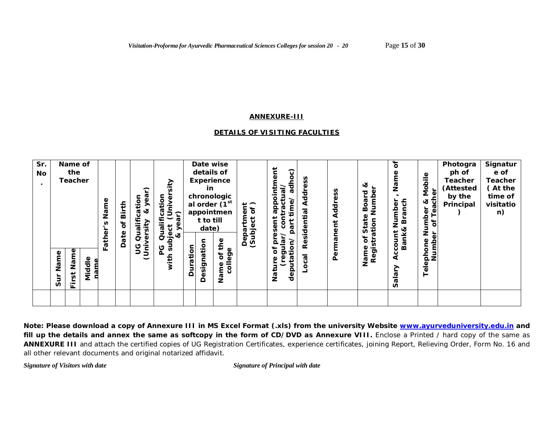#### **ANNEXURE-III**

# *DETAILS OF VISITING FACULTIES*

| Sr.<br>No | Name of<br>the<br><b>Teacher</b>                            | Name        | Birth<br>ð | ⌒<br>cation<br>Φ<br>చ<br>Ě<br>ัด<br>Qual | sity<br>cation<br>$\overline{\mathbf{0}}$<br>∕∍้<br>っ<br>ີ <b>ຄ</b><br>Qualifi<br>قع<br>ح<br>ಕ |          | Date wise<br>details of<br><b>Experience</b><br>in<br>chronologic<br>al order (1 <sup>st</sup><br>appointmen<br>t to till<br>date) |                             | $\frac{1}{6}$<br>bject<br>로<br>Ф | $\overline{c}$<br>$\overline{\mathsf{c}}$<br>등<br>tractual<br><b>ro</b><br>ō<br>قع<br>app<br>ent<br>ខ្លិ<br>ă<br>$\Omega$ | S<br>Addr<br>sidential | Address   | જ<br>Numbe<br>Board<br>Φ<br>ation<br>tat<br>n | ৳<br>Nar<br>Branch<br>Number                               | Φ<br>Mobil<br>Teacher<br>ಜ<br>Number<br><sup>ar of Tea</sup> | Photogra<br>ph of<br>Teacher<br>(Attested<br>by the<br>Principal | Signatur<br>e of<br><b>Teacher</b><br>(At the<br>time of<br>visitatio<br>n) |
|-----------|-------------------------------------------------------------|-------------|------------|------------------------------------------|------------------------------------------------------------------------------------------------|----------|------------------------------------------------------------------------------------------------------------------------------------|-----------------------------|----------------------------------|---------------------------------------------------------------------------------------------------------------------------|------------------------|-----------|-----------------------------------------------|------------------------------------------------------------|--------------------------------------------------------------|------------------------------------------------------------------|-----------------------------------------------------------------------------|
|           | Name<br>Name<br>Middle<br>$\overline{5}$<br><b>Jus</b><br>证 | ather<br>ш. | Date       | Φ<br>9<br>C<br>j<br>Uni                  | ൪<br>$\bar{\mathcal{D}}$<br>ms<br>ပ္ပ                                                          | Duration | esignation<br>≏                                                                                                                    | the<br>college<br>ð<br>Name | Dep<br>ত                         | gular<br>o<br>o<br>৳<br>Φ<br>uta<br>φ<br>dep<br>d<br>na<br>Na                                                             | ِيَةِ<br>ၛၟ            | Permanent | ৳<br>≑<br>Regist<br>Name                      | <b>Bank&amp;</b><br>ccount<br>⋖<br>$\frac{5}{6}$<br>Ø<br>n | Number<br>phone<br>Tele                                      |                                                                  |                                                                             |

**Note: Please download a copy of Annexure III in MS Excel Format (.xls) from the university Website www.ayurveduniversity.edu.in and**  fill up the details and annex the same as softcopy in the form of CD/DVD as Annexure VIII. Enclose a Printed / hard copy of the same as ANNEXURE III and attach the certified copies of UG Registration Certificates, experience certificates, joining Report, Relieving Order, Form No. 16 and all other relevant documents and original notarized affidavit.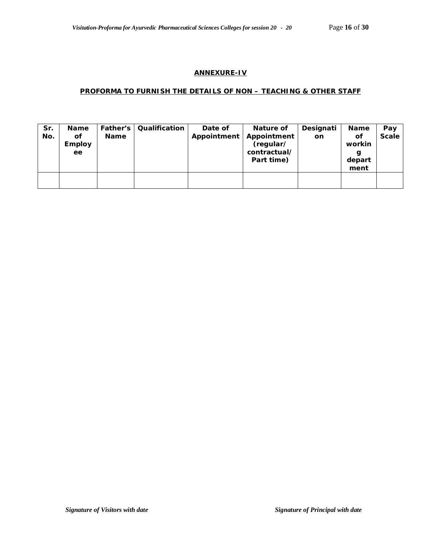#### **ANNEXURE-IV**

#### **PROFORMA TO FURNISH THE DETAILS OF NON – TEACHING & OTHER STAFF**

| Sr.<br>No. | <b>Name</b><br>Οf<br><b>Employ</b><br>ee | Father's<br><b>Name</b> | Qualification | Date of<br>Appointment | Nature of<br>Appointment<br>(regular/<br>contractual/<br>Part time) | Designati<br>on | Name<br>Οf<br>workin<br>g<br>depart<br>ment | Pay<br><b>Scale</b> |
|------------|------------------------------------------|-------------------------|---------------|------------------------|---------------------------------------------------------------------|-----------------|---------------------------------------------|---------------------|
|            |                                          |                         |               |                        |                                                                     |                 |                                             |                     |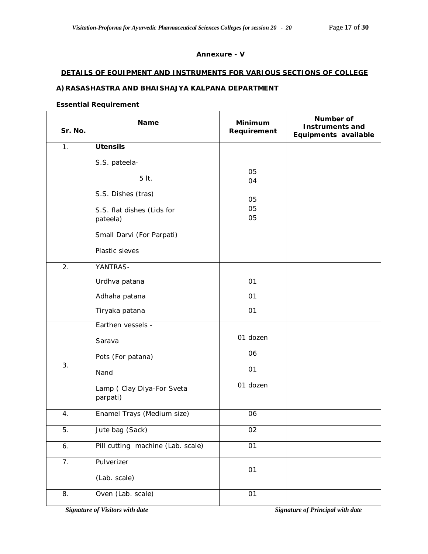# **Annexure - V**

#### **DETAILS OF EQUIPMENT AND INSTRUMENTS FOR VARIOUS SECTIONS OF COLLEGE**

# **A)RASASHASTRA AND BHAISHAJYA KALPANA DEPARTMENT**

#### **Essential Requirement**

| Sr. No. | Name                                   | <b>Minimum</b><br>Requirement | Number of<br><b>Instruments and</b><br>Equipments available |
|---------|----------------------------------------|-------------------------------|-------------------------------------------------------------|
| 1.      | <b>Utensils</b>                        |                               |                                                             |
|         | S.S. pateela-                          |                               |                                                             |
|         | 5 lt.                                  | 05<br>04                      |                                                             |
|         | S.S. Dishes (tras)                     | 05                            |                                                             |
|         | S.S. flat dishes (Lids for<br>pateela) | 05<br>05                      |                                                             |
|         | Small Darvi (For Parpati)              |                               |                                                             |
|         | Plastic sieves                         |                               |                                                             |
| 2.      | YANTRAS-                               |                               |                                                             |
|         | Urdhva patana                          | 01                            |                                                             |
|         | Adhaha patana                          | 01                            |                                                             |
|         | Tiryaka patana                         | 01                            |                                                             |
|         | Earthen vessels -                      |                               |                                                             |
|         | Sarava                                 | 01 dozen                      |                                                             |
|         | Pots (For patana)                      | 06                            |                                                             |
| 3.      | Nand                                   | 01                            |                                                             |
|         | Lamp (Clay Diya-For Sveta<br>parpati)  | 01 dozen                      |                                                             |
| 4.      | Enamel Trays (Medium size)             | 06                            |                                                             |
| 5.      | Jute bag (Sack)                        | 02                            |                                                             |
| 6.      | Pill cutting machine (Lab. scale)      | 01                            |                                                             |
| 7.      | Pulverizer                             | 01                            |                                                             |
|         | (Lab. scale)                           |                               |                                                             |
| 8.      | Oven (Lab. scale)                      | $\overline{01}$               |                                                             |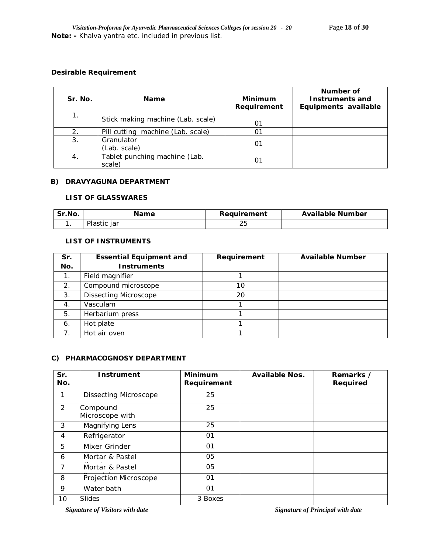### **Desirable Requirement**

| Sr. No. | <b>Name</b>                             | <b>Minimum</b><br>Requirement | Number of<br>Instruments and<br>Equipments available |
|---------|-----------------------------------------|-------------------------------|------------------------------------------------------|
|         | Stick making machine (Lab. scale)       | 01                            |                                                      |
| 2.      | Pill cutting machine (Lab. scale)       | ი1                            |                                                      |
| 3.      | Granulator<br>(Lab. scale)              | 01                            |                                                      |
| 4.      | Tablet punching machine (Lab.<br>scale) |                               |                                                      |

#### **B) DRAVYAGUNA DEPARTMENT**

### **LIST OF GLASSWARES**

| Sr.No. | Name        | Requirement | <b>Available Number</b> |
|--------|-------------|-------------|-------------------------|
|        | Plastic jar | 2 J         |                         |

# **LIST OF INSTRUMENTS**

| Sr.              | <b>Essential Equipment and</b> | Requirement | <b>Available Number</b> |
|------------------|--------------------------------|-------------|-------------------------|
| No.              | <b>Instruments</b>             |             |                         |
| 1 <sub>1</sub>   | Field magnifier                |             |                         |
| 2.               | Compound microscope            | 10          |                         |
| 3.               | <b>Dissecting Microscope</b>   | 20          |                         |
| $\overline{4}$ . | Vasculam                       |             |                         |
| 5.               | Herbarium press                |             |                         |
| 6.               | Hot plate                      |             |                         |
| $\overline{7}$   | Hot air oven                   |             |                         |

#### **C) PHARMACOGNOSY DEPARTMENT**

| Sr.<br>No.     | Instrument                   | <b>Minimum</b><br>Requirement | <b>Available Nos.</b> | Remarks /<br>Required |
|----------------|------------------------------|-------------------------------|-----------------------|-----------------------|
| 1              | <b>Dissecting Microscope</b> | 25                            |                       |                       |
| 2              | Compound<br>Microscope with  | 25                            |                       |                       |
| 3              | Magnifying Lens              | 25                            |                       |                       |
| 4              | Refrigerator                 | O <sub>1</sub>                |                       |                       |
| 5              | Mixer Grinder                | 01                            |                       |                       |
| 6              | Mortar & Pastel              | 05                            |                       |                       |
| $\overline{7}$ | Mortar & Pastel              | 05                            |                       |                       |
| 8              | Projection Microscope        | 01                            |                       |                       |
| 9              | Water bath                   | 01                            |                       |                       |
| 10             | <b>Slides</b>                | 3 Boxes                       |                       |                       |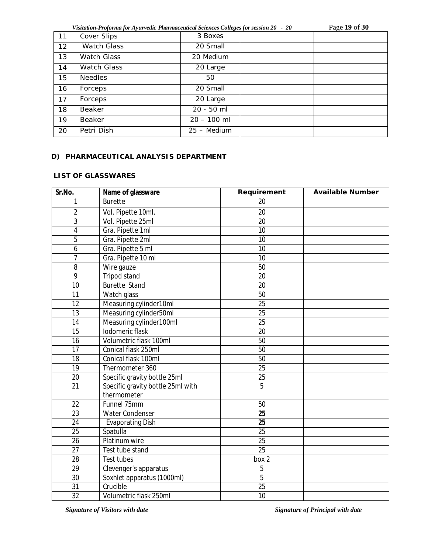*Visitation-Proforma for Ayurvedic Pharmaceutical Sciences Colleges for session 20 - 20* Page **19** of **30**

| 11 | Cover Slips        | 3 Boxes       |  |
|----|--------------------|---------------|--|
| 12 | <b>Watch Glass</b> | 20 Small      |  |
| 13 | <b>Watch Glass</b> | 20 Medium     |  |
| 14 | <b>Watch Glass</b> | 20 Large      |  |
| 15 | <b>Needles</b>     | 50            |  |
| 16 | Forceps            | 20 Small      |  |
| 17 | Forceps            | 20 Large      |  |
| 18 | Beaker             | 20 - 50 ml    |  |
| 19 | <b>Beaker</b>      | $20 - 100$ ml |  |
| 20 | Petri Dish         | 25 - Medium   |  |

## **D) PHARMACEUTICAL ANALYSIS DEPARTMENT**

### **LIST OF GLASSWARES**

| Sr.No.          | Name of glassware                 | Requirement     | <b>Available Number</b> |
|-----------------|-----------------------------------|-----------------|-------------------------|
| 1               | <b>Burette</b>                    | 20              |                         |
| $\overline{2}$  | Vol. Pipette 10ml.                | 20              |                         |
| 3               | Vol. Pipette 25ml                 | 20              |                         |
| 4               | Gra. Pipette 1ml                  | 10              |                         |
| 5               | Gra. Pipette 2ml                  | 10              |                         |
| 6               | Gra. Pipette 5 ml                 | 10              |                         |
| $\overline{7}$  | Gra. Pipette 10 ml                | 10              |                         |
| $\overline{8}$  | Wire gauze                        | 50              |                         |
| 9               | <b>Tripod stand</b>               | 20              |                         |
| 10              | <b>Burette Stand</b>              | 20              |                         |
| 11              | Watch glass                       | 50              |                         |
| 12              | Measuring cylinder10ml            | 25              |                         |
| $\overline{13}$ | Measuring cylinder50ml            | 25              |                         |
| 14              | Measuring cylinder100ml           | 25              |                         |
| 15              | Iodomeric flask                   | 20              |                         |
| 16              | Volumetric flask 100ml            | 50              |                         |
| 17              | Conical flask 250ml               | 50              |                         |
| $\overline{18}$ | Conical flask 100ml               | 50              |                         |
| 19              | Thermometer 360                   | $\overline{25}$ |                         |
| 20              | Specific gravity bottle 25ml      | 25              |                         |
| $\overline{21}$ | Specific gravity bottle 25ml with | $\overline{5}$  |                         |
|                 | thermometer                       |                 |                         |
| 22              | Funnel 75mm                       | 50              |                         |
| 23              | <b>Water Condenser</b>            | 25              |                         |
| $\overline{24}$ | Evaporating Dish                  | $\overline{25}$ |                         |
| 25              | Spatulla                          | 25              |                         |
| $\overline{26}$ | Platinum wire                     | $\overline{25}$ |                         |
| $\overline{27}$ | Test tube stand                   | $\overline{25}$ |                         |
| $\overline{28}$ | Test tubes                        | box 2           |                         |
| $\overline{29}$ | Clevenger's apparatus             | 5               |                         |
| $\overline{30}$ | Soxhlet apparatus (1000ml)        | $\overline{5}$  |                         |
| $\overline{31}$ | Crucible                          | $\overline{25}$ |                         |
| $\overline{32}$ | Volumetric flask 250ml            | 10              |                         |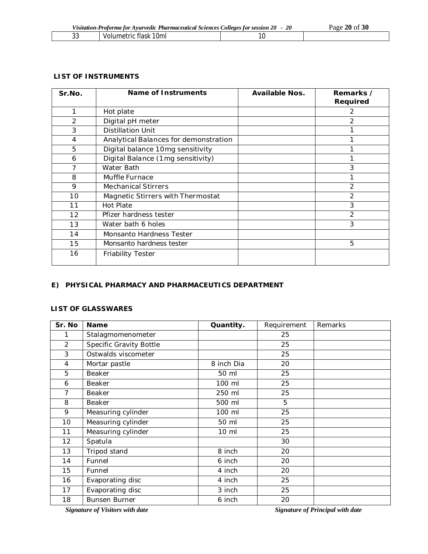| Visitation-Proforma for Ayurvedic Pharmaceutical Sciences Colleges for session 20 - 20 |                       |  | Page 20 of 30 |
|----------------------------------------------------------------------------------------|-----------------------|--|---------------|
| ົາາ                                                                                    | Volumetric flask 10ml |  |               |

## **LIST OF INSTRUMENTS**

| Sr.No. | Name of Instruments                   | Available Nos. | Remarks /<br>Required |
|--------|---------------------------------------|----------------|-----------------------|
| 1      | Hot plate                             |                | 2                     |
| 2      | Digital pH meter                      |                | 2                     |
| 3      | <b>Distillation Unit</b>              |                |                       |
| 4      | Analytical Balances for demonstration |                |                       |
| 5      | Digital balance 10mg sensitivity      |                |                       |
| 6      | Digital Balance (1mg sensitivity)     |                |                       |
| 7      | Water Bath                            |                | 3                     |
| 8      | Muffle Furnace                        |                |                       |
| 9      | <b>Mechanical Stirrers</b>            |                | $\overline{2}$        |
| 10     | Magnetic Stirrers with Thermostat     |                | 2                     |
| 11     | Hot Plate                             |                | 3                     |
| 12     | Pfizer hardness tester                |                | 2                     |
| 13     | Water bath 6 holes                    |                | 3                     |
| 14     | <b>Monsanto Hardness Tester</b>       |                |                       |
| 15     | Monsanto hardness tester              |                | 5                     |
| 16     | <b>Friability Tester</b>              |                |                       |

# **E) PHYSICAL PHARMACY AND PHARMACEUTICS DEPARTMENT**

## **LIST OF GLASSWARES**

| Sr. No         | <b>Name</b>             | Quantity.       | Requirement | Remarks |
|----------------|-------------------------|-----------------|-------------|---------|
| 1              | Stalagmomenometer       |                 | 25          |         |
| $\overline{2}$ | Specific Gravity Bottle |                 | 25          |         |
| 3              | Ostwalds viscometer     |                 | 25          |         |
| 4              | Mortar pastle           | 8 inch Dia      | 20          |         |
| 5              | Beaker                  | 50 ml           | 25          |         |
| 6              | Beaker                  | 100 ml          | 25          |         |
| 7              | <b>Beaker</b>           | 250 ml          | 25          |         |
| 8              | Beaker                  | 500 ml          | 5           |         |
| 9              | Measuring cylinder      | 100 ml          | 25          |         |
| 10             | Measuring cylinder      | 50 ml           | 25          |         |
| 11             | Measuring cylinder      | $10 \mathrm{m}$ | 25          |         |
| 12             | Spatula                 |                 | 30          |         |
| 13             | Tripod stand            | 8 inch          | 20          |         |
| 14             | Funnel                  | 6 inch          | 20          |         |
| 15             | Funnel                  | 4 inch          | 20          |         |
| 16             | Evaporating disc        | 4 inch          | 25          |         |
| 17             | Evaporating disc        | 3 inch          | 25          |         |
| 18             | <b>Bunsen Burner</b>    | 6 inch          | 20          |         |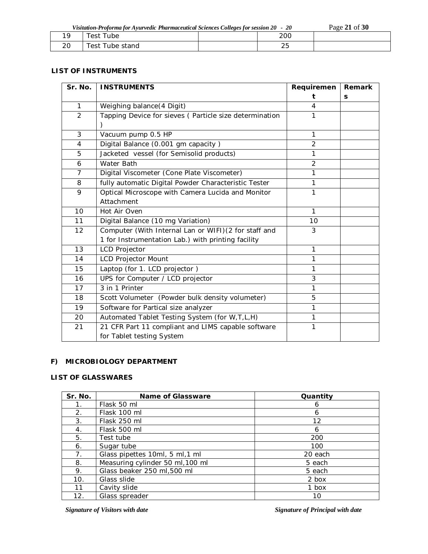|    | Visitation-Proforma for Ayurvedic Pharmaceutical Sciences Colleges for session 20 - 20 |     | Page 21 of 30 |
|----|----------------------------------------------------------------------------------------|-----|---------------|
| 19 | l Test Tube                                                                            | 200 |               |

20 Test Tube stand 25

#### **LIST OF INSTRUMENTS**

| Sr. No.        | <b>INSTRUMENTS</b>                                      | Requiremen     | Remark |
|----------------|---------------------------------------------------------|----------------|--------|
|                |                                                         | t              | S      |
| $\mathbf{1}$   | Weighing balance(4 Digit)                               | 4              |        |
| $\overline{2}$ | Tapping Device for sieves ( Particle size determination | 1              |        |
|                |                                                         |                |        |
| 3              | Vacuum pump 0.5 HP                                      | 1              |        |
| 4              | Digital Balance (0.001 gm capacity)                     | $\overline{2}$ |        |
| 5              | Jacketed vessel (for Semisolid products)                | 1              |        |
| 6              | Water Bath                                              | $\overline{2}$ |        |
| $\overline{7}$ | Digital Viscometer (Cone Plate Viscometer)              | 1              |        |
| 8              | fully automatic Digital Powder Characteristic Tester    | 1              |        |
| 9              | Optical Microscope with Camera Lucida and Monitor       | 1              |        |
|                | Attachment                                              |                |        |
| 10             | Hot Air Oven                                            | 1              |        |
| 11             | Digital Balance (10 mg Variation)                       | 10             |        |
| 12             | Computer (With Internal Lan or WIFI) (2 for staff and   | 3              |        |
|                | 1 for Instrumentation Lab.) with printing facility      |                |        |
| 13             | <b>LCD Projector</b>                                    | 1              |        |
| 14             | <b>LCD Projector Mount</b>                              | 1              |        |
| 15             | Laptop (for 1. LCD projector)                           | 1              |        |
| 16             | UPS for Computer / LCD projector                        | 3              |        |
| 17             | 3 in 1 Printer                                          | 1              |        |
| 18             | Scott Volumeter (Powder bulk density volumeter)         | 5              |        |
| 19             | Software for Partical size analyzer                     | 1              |        |
| 20             | Automated Tablet Testing System (for W, T, L, H)        | 1              |        |
| 21             | 21 CFR Part 11 compliant and LIMS capable software      | 1              |        |
|                | for Tablet testing System                               |                |        |

# **F) MICROBIOLOGY DEPARTMENT**

# **LIST OF GLASSWARES**

| Sr. No. | Name of Glassware                | Quantity |
|---------|----------------------------------|----------|
| 1.      | Flask 50 ml                      | 6        |
| 2.      | Flask 100 ml                     | 6        |
| 3.      | Flask 250 ml                     | 12       |
| 4.      | Flask 500 ml                     | 6        |
| 5.      | Test tube                        | 200      |
| 6.      | Sugar tube                       | 100      |
| 7.      | Glass pipettes 10ml, 5 ml, 1 ml  | 20 each  |
| 8.      | Measuring cylinder 50 ml, 100 ml | 5 each   |
| 9.      | Glass beaker 250 ml,500 ml       | 5 each   |
| 10.     | Glass slide                      | 2 box    |
| 11      | Cavity slide                     | 1 box    |
| 12.     | Glass spreader                   | 10       |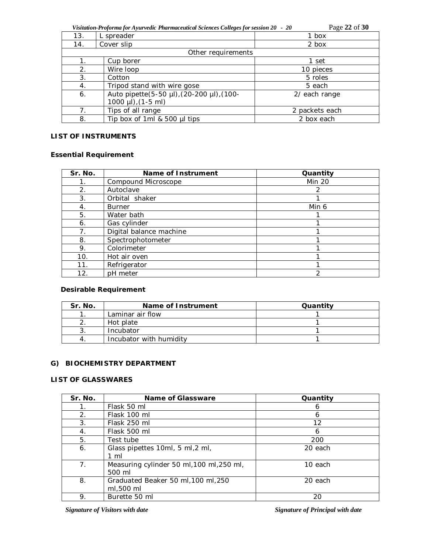*Visitation-Proforma for Ayurvedic Pharmaceutical Sciences Colleges for session 20 - 20* Page **22** of **30**

|                |                                                                           | ื่⊂            |
|----------------|---------------------------------------------------------------------------|----------------|
| 13.            | L spreader                                                                | 1 box          |
| 14.            | Cover slip                                                                | 2 box          |
|                | Other requirements                                                        |                |
|                | Cup borer                                                                 | 1 set          |
| 2.             | Wire loop                                                                 | 10 pieces      |
| 3.             | Cotton                                                                    | 5 roles        |
| 4.             | Tripod stand with wire gose                                               | 5 each         |
| 6.             | Auto pipette(5-50 µl), (20-200 µl), (100-<br>$1000 \mu l$ , $(1-5 \mu l)$ | 2/ each range  |
|                |                                                                           |                |
| 7 <sub>1</sub> | Tips of all range                                                         | 2 packets each |
| 8.             | Tip box of 1ml & 500 µl tips                                              | 2 box each     |

# **LIST OF INSTRUMENTS**

# **Essential Requirement**

| Sr. No.        | Name of Instrument      | Quantity      |
|----------------|-------------------------|---------------|
| $\mathbf{1}$ . | Compound Microscope     | <b>Min 20</b> |
| 2.             | Autoclave               | 2             |
| 3.             | Orbital shaker          |               |
| 4.             | <b>Burner</b>           | Min 6         |
| 5.             | Water bath              |               |
| 6.             | Gas cylinder            |               |
| 7.             | Digital balance machine |               |
| 8.             | Spectrophotometer       |               |
| 9.             | Colorimeter             |               |
| 10.            | Hot air oven            |               |
| 11.            | Refrigerator            |               |
| 12.            | pH meter                | າ             |

# **Desirable Requirement**

| Sr. No. | Name of Instrument      | Quantity |
|---------|-------------------------|----------|
|         | Laminar air flow        |          |
|         | Hot plate               |          |
|         | Incubator               |          |
|         | Incubator with humidity |          |

# **G) BIOCHEMISTRY DEPARTMENT**

## **LIST OF GLASSWARES**

| Sr. No.        | Name of Glassware                                   | Quantity |
|----------------|-----------------------------------------------------|----------|
| 1.             | Flask 50 ml                                         | 6        |
| 2.             | Flask 100 ml                                        | 6        |
| 3.             | Flask 250 ml                                        | 12       |
| 4.             | Flask 500 ml                                        | 6        |
| 5.             | Test tube                                           | 200      |
| 6.             | Glass pipettes 10ml, 5 ml, 2 ml,                    | 20 each  |
|                | $1 \text{ ml}$                                      |          |
| 7 <sub>1</sub> | Measuring cylinder 50 ml, 100 ml, 250 ml,<br>500 ml | 10 each  |
|                |                                                     |          |
| 8.             | Graduated Beaker 50 ml, 100 ml, 250                 | 20 each  |
|                | ml,500 ml                                           |          |
| 9.             | Burette 50 ml                                       | 20       |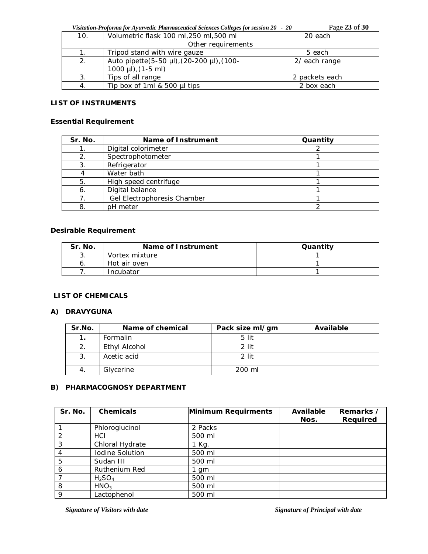*Visitation-Proforma for Ayurvedic Pharmaceutical Sciences Colleges for session 20 - 20* Page **23** of **30**

| 10. | Volumetric flask 100 ml, 250 ml, 500 ml   | 20 each        |
|-----|-------------------------------------------|----------------|
|     | Other requirements                        |                |
|     | Tripod stand with wire gauze              | 5 each         |
| 2.  | Auto pipette(5-50 µl), (20-200 µl), (100- | 2/ each range  |
|     | 1000 $\mu$ I), (1-5 ml)                   |                |
| 3.  | Tips of all range                         | 2 packets each |
|     | Tip box of 1ml & 500 µl tips              | 2 box each     |
|     |                                           |                |

# **LIST OF INSTRUMENTS**

## **Essential Requirement**

| Sr. No. | Name of Instrument          | Quantity |
|---------|-----------------------------|----------|
|         | Digital colorimeter         |          |
| 2.      | Spectrophotometer           |          |
| 3.      | Refrigerator                |          |
|         | Water bath                  |          |
| 5.      | High speed centrifuge       |          |
| 6.      | Digital balance             |          |
|         | Gel Electrophoresis Chamber |          |
| 8.      | pH meter                    |          |

## **Desirable Requirement**

| Sr. No. | Name of Instrument | Quantity |
|---------|--------------------|----------|
| J.      | Vortex mixture     |          |
|         | Hot air oven       |          |
|         | Incubator          |          |

# **LIST OF CHEMICALS**

### **A) DRAVYGUNA**

| Sr.No. | Name of chemical | Pack size ml/gm | Available |
|--------|------------------|-----------------|-----------|
|        | Formalin         | 5 lit           |           |
|        | Ethyl Alcohol    | 2 lit           |           |
| 3.     | Acetic acid      | 2 lit           |           |
|        | Glycerine        | 200 ml          |           |

# **B) PHARMACOGNOSY DEPARTMENT**

| Sr. No. | <b>Chemicals</b> | Minimum Requirments | Available<br>Nos. | Remarks /<br>Required |
|---------|------------------|---------------------|-------------------|-----------------------|
|         | Phloroglucinol   | 2 Packs             |                   |                       |
| 2       | HCI              | 500 ml              |                   |                       |
| 3       | Chloral Hydrate  | 1 Kg.               |                   |                       |
|         | Iodine Solution  | 500 ml              |                   |                       |
| 5       | Sudan III        | 500 ml              |                   |                       |
| 6       | Ruthenium Red    | 1 gm                |                   |                       |
|         | $H_2SO_4$        | 500 ml              |                   |                       |
| 8       | HNO <sub>3</sub> | 500 ml              |                   |                       |
| 9       | Lactophenol      | 500 ml              |                   |                       |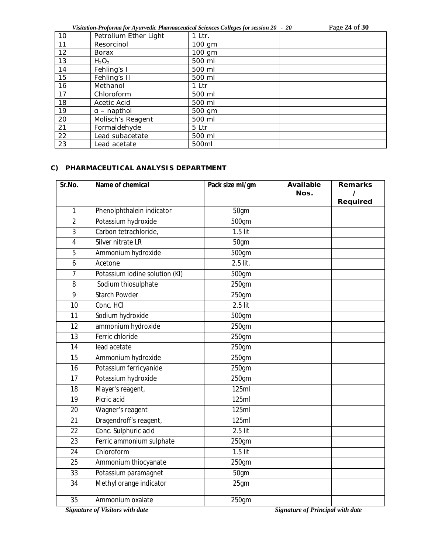*Visitation-Proforma for Ayurvedic Pharmaceutical Sciences Colleges for session 20 - 20* Page **24** of **30**

| 10              | Petrolium Ether Light | 1 Ltr. |  |
|-----------------|-----------------------|--------|--|
| 11              | Resorcinol            | 100 gm |  |
| 12              | <b>Borax</b>          | 100 gm |  |
| 13              | $H_2O_2$              | 500 ml |  |
| 14              | Fehling's I           | 500 ml |  |
| 15              | Fehling's II          | 500 ml |  |
| 16              | Methanol              | 1 Ltr  |  |
| 17              | Chloroform            | 500 ml |  |
| 18              | Acetic Acid           | 500 ml |  |
| 19              | $a$ – napthol         | 500 gm |  |
| 20              | Molisch's Reagent     | 500 ml |  |
| 21              | Formaldehyde          | 5 Ltr  |  |
| 22              | Lead subacetate       | 500 ml |  |
| $\overline{23}$ | Lead acetate          | 500ml  |  |

#### **C) PHARMACEUTICAL ANALYSIS DEPARTMENT**

| Sr.No.         | Name of chemical               | Pack size ml/gm | Available<br>Nos. | <b>Remarks</b><br>Required |
|----------------|--------------------------------|-----------------|-------------------|----------------------------|
| 1              | Phenolphthalein indicator      | 50gm            |                   |                            |
| $\overline{2}$ | Potassium hydroxide            | 500gm           |                   |                            |
| 3              | Carbon tetrachloride,          | $1.5$ lit       |                   |                            |
| $\overline{4}$ | Silver nitrate LR              | 50gm            |                   |                            |
| 5              | Ammonium hydroxide             | 500gm           |                   |                            |
| 6              | Acetone                        | $2.5$ lit.      |                   |                            |
| 7              | Potassium iodine solution (KI) | 500gm           |                   |                            |
| 8              | Sodium thiosulphate            | 250gm           |                   |                            |
| 9              | <b>Starch Powder</b>           | 250gm           |                   |                            |
| 10             | Conc. HCI                      | $2.5$ lit       |                   |                            |
| 11             | Sodium hydroxide               | 500gm           |                   |                            |
| 12             | ammonium hydroxide             | 250gm           |                   |                            |
| 13             | Ferric chloride                | 250gm           |                   |                            |
| 14             | lead acetate                   | 250gm           |                   |                            |
| 15             | Ammonium hydroxide             | 250gm           |                   |                            |
| 16             | Potassium ferricyanide         | 250gm           |                   |                            |
| 17             | Potassium hydroxide            | $250$ gm        |                   |                            |
| 18             | Mayer's reagent,               | 125ml           |                   |                            |
| 19             | Picric acid                    | <b>125ml</b>    |                   |                            |
| 20             | Wagner's reagent               | 125ml           |                   |                            |
| 21             | Dragendroff's reagent,         | 125ml           |                   |                            |
| 22             | Conc. Sulphuric acid           | $2.5$ lit       |                   |                            |
| 23             | Ferric ammonium sulphate       | 250gm           |                   |                            |
| 24             | Chloroform                     | $1.5$ lit       |                   |                            |
| 25             | Ammonium thiocyanate           | 250gm           |                   |                            |
| 33             | Potassium paramagnet           | 50gm            |                   |                            |
| 34             | Methyl orange indicator        | 25gm            |                   |                            |
| 35             | Ammonium oxalate               | 250gm           |                   |                            |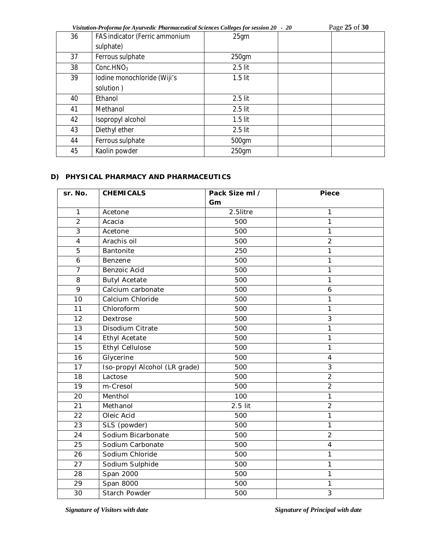*Visitation-Proforma for Ayurvedic Pharmaceutical Sciences Colleges for session 20 - 20* Page **25** of **30**

| 36 | FAS indicator (Ferric ammonium | 25gm      |  |
|----|--------------------------------|-----------|--|
|    | sulphate)                      |           |  |
| 37 | Ferrous sulphate               | 250gm     |  |
| 38 | Conc. $HNO3$                   | $2.5$ lit |  |
| 39 | lodine monochloride (Wiji's    | $1.5$ lit |  |
|    | solution)                      |           |  |
| 40 | Ethanol                        | 2.5 lit   |  |
| 41 | Methanol                       | $2.5$ lit |  |
| 42 | Isopropyl alcohol              | $1.5$ lit |  |
| 43 | Diethyl ether                  | $2.5$ lit |  |
| 44 | Ferrous sulphate               | 500gm     |  |
| 45 | Kaolin powder                  | 250gm     |  |

## **D) PHYSICAL PHARMACY AND PHARMACEUTICS**

| sr. No.                 | <b>CHEMICALS</b>              | Pack Size ml / | <b>Piece</b>             |
|-------------------------|-------------------------------|----------------|--------------------------|
|                         |                               | Gm             |                          |
| 1                       | Acetone                       | 2.5litre       | 1                        |
| $\overline{2}$          | Acacia                        | 500            | $\mathbf{1}$             |
| $\overline{3}$          | Acetone                       | 500            | 1                        |
| $\overline{\mathbf{4}}$ | Arachis oil                   | 500            | $\overline{c}$           |
| 5                       | Bantonite                     | 250            | 1                        |
| 6                       | Benzene                       | 500            | 1                        |
| $\overline{7}$          | Benzoic Acid                  | 500            | $\mathbf{1}$             |
| 8                       | <b>Butyl Acetate</b>          | 500            | 1                        |
| $\overline{9}$          | Calcium carbonate             | 500            | 6                        |
| 10                      | Calcium Chloride              | 500            | 1                        |
| 11                      | Chloroform                    | 500            | 1                        |
| 12                      | Dextrose                      | 500            | 3                        |
| 13                      | Disodium Citrate              | 500            | 1                        |
| 14                      | <b>Ethyl Acetate</b>          | 500            | $\mathbf{1}$             |
| 15                      | <b>Ethyl Cellulose</b>        | 500            | 1                        |
| 16                      | Glycerine                     | 500            | $\overline{\mathcal{A}}$ |
| 17                      | Iso-propyl Alcohol (LR grade) | 500            | 3                        |
| 18                      | Lactose                       | 500            | $\overline{2}$           |
| 19                      | m-Cresol                      | 500            | $\overline{2}$           |
| 20                      | Menthol                       | 100            | 1                        |
| 21                      | Methanol                      | $2.5$ lit      | $\overline{2}$           |
| 22                      | Oleic Acid                    | 500            | 1                        |
| 23                      | SLS (powder)                  | 500            | 1                        |
| 24                      | Sodium Bicarbonate            | 500            | $\overline{2}$           |
| 25                      | Sodium Carbonate              | 500            | $\overline{\mathcal{A}}$ |
| 26                      | Sodium Chloride               | 500            | 1                        |
| 27                      | Sodium Sulphide               | 500            | 1                        |
| 28                      | Span 2000                     | 500            | 1                        |
| 29                      | Span 8000                     | 500            | 1                        |
| 30                      | Starch Powder                 | 500            | $\overline{3}$           |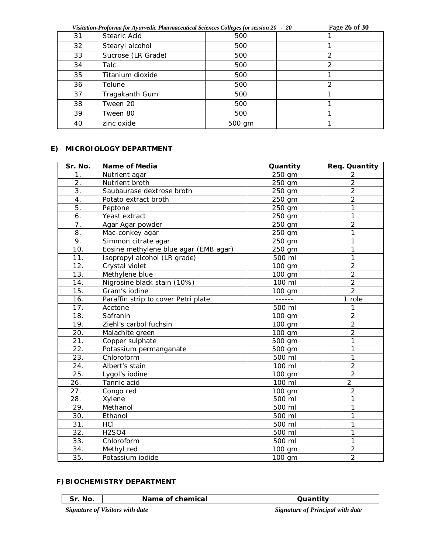| Visitation-Proforma for Ayurvedic Pharmaceutical Sciences Colleges for session 20 - 20 |                    |        | Page 26 of 30 |  |
|----------------------------------------------------------------------------------------|--------------------|--------|---------------|--|
| 31                                                                                     | Stearic Acid       | 500    |               |  |
| 32                                                                                     | Stearyl alcohol    | 500    |               |  |
| 33                                                                                     | Sucrose (LR Grade) | 500    | 2             |  |
| 34                                                                                     | Talc               | 500    | 2             |  |
| 35                                                                                     | Titanium dioxide   | 500    |               |  |
| 36                                                                                     | Tolune             | 500    | 2             |  |
| 37                                                                                     | Tragakanth Gum     | 500    |               |  |
| 38                                                                                     | Tween 20           | 500    |               |  |
| 39                                                                                     | Tween 80           | 500    |               |  |
| 40                                                                                     | zinc oxide         | 500 gm |               |  |

# **E) MICROIOLOGY DEPARTMENT**

| Sr. No.           | Name of Media                         | Quantity | Req. Quantity  |
|-------------------|---------------------------------------|----------|----------------|
| 1.                | Nutrient agar                         | 250 gm   | $\overline{2}$ |
| $\overline{2}$ .  | Nutrient broth                        | 250 gm   | $\overline{2}$ |
| 3.                | Saubaurase dextrose broth             | 250 gm   | $\overline{2}$ |
| 4.                | Potato extract broth                  | 250 gm   | $\overline{2}$ |
| 5.                | Peptone                               | 250 gm   | 1              |
| 6.                | Yeast extract                         | 250 gm   | 1              |
| 7.                | Agar Agar powder                      | 250 gm   | $\overline{2}$ |
| 8.                | Mac-conkey agar                       | 250 gm   | $\mathbf{1}$   |
| 9.                | Simmon citrate agar                   | 250 gm   | 1              |
| 10.               | Eosine methylene blue agar (EMB agar) | 250 gm   | 1              |
| 11.               | Isopropyl alcohol (LR grade)          | 500 ml   | 1              |
| 12.               | Crystal violet                        | 100 gm   | $\overline{2}$ |
| $\overline{13}$ . | Methylene blue                        | 100 gm   | $\overline{2}$ |
| 14.               | Nigrosine black stain (10%)           | 100 ml   | $\overline{2}$ |
| 15.               | Gram's iodine                         | 100 gm   | $\overline{2}$ |
| 16.               | Paraffin strip to cover Petri plate   | ------   | 1 role         |
| 17.               | Acetone                               | 500 ml   | 1              |
| 18.               | Safranin                              | 100 gm   | $\overline{2}$ |
| 19.               | Ziehl's carbol fuchsin                | 100 gm   | $\overline{2}$ |
| 20.               | Malachite green                       | 100 gm   | $\overline{2}$ |
| 21.               | Copper sulphate                       | 500 gm   | 1              |
| 22.               | Potassium permanganate                | 500 gm   | 1              |
| 23.               | Chloroform                            | 500 ml   | $\overline{1}$ |
| 24.               | Albert's stain                        | 100 ml   | $\overline{2}$ |
| 25.               | Lygol's iodine                        | 100 gm   | $\overline{2}$ |
| 26.               | Tannic acid                           | 100 ml   | $\overline{2}$ |
| 27.               | Congo red                             | 100 gm   | $\overline{2}$ |
| 28.               | Xylene                                | 500 ml   | 1              |
| 29.               | Methanol                              | 500 ml   | 1              |
| 30.               | Ethanol                               | 500 ml   | 1              |
| 31.               | HCI                                   | 500 ml   | 1              |
| 32.               | <b>H2SO4</b>                          | 500 ml   | 1              |
| 33.               | Chloroform                            | 500 ml   | $\mathbf{1}$   |
| 34.               | Methyl red                            | 100 gm   | $\overline{2}$ |
| 35.               | Potassium iodide                      | 100 gm   | $\overline{2}$ |

# **F)BIOCHEMISTRY DEPARTMENT**

| Sr. No. | Name of chemical                       | Quantity                                |
|---------|----------------------------------------|-----------------------------------------|
|         | <b>Signature of Visitors with date</b> | <b>Signature of Principal with date</b> |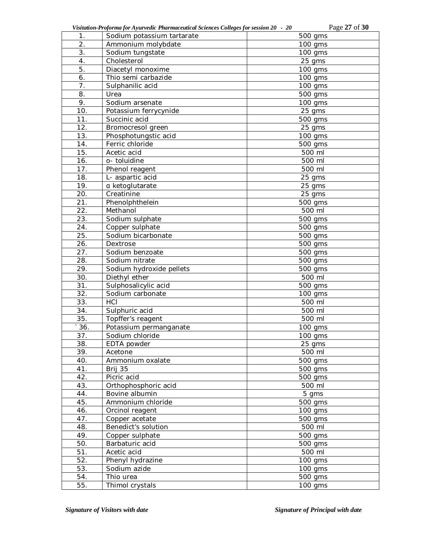| Visitation-Proforma for Ayurvedic Pharmaceutical Sciences Colleges for session 20 - 20 | Page 27 of 30 |
|----------------------------------------------------------------------------------------|---------------|
|----------------------------------------------------------------------------------------|---------------|

| 1.               | Sodium potassium tartarate | 500 gms              |
|------------------|----------------------------|----------------------|
| $\overline{2}$ . | Ammonium molybdate         | 100 gms              |
| 3.               | Sodium tungstate           | $100$ gms            |
| $\overline{4}$ . | Cholesterol                | 25 gms               |
| 5.               | Diacetyl monoxime          | 100 gms              |
| 6.               | Thio semi carbazide        | 100 gms              |
| 7.               | Sulphanilic acid           | 100 gms              |
| 8.               | Urea                       | 500 gms              |
| 9.               | Sodium arsenate            | 100 gms              |
| 10.              | Potassium ferrycynide      | 25 gms               |
| 11.              | Succinic acid              | 500 gms              |
| 12.              | Bromocresol green          | 25 gms               |
| 13.              | Phosphotungstic acid       | 100 gms              |
| 14.              | Ferric chloride            | 500 gms              |
| 15.              | Acetic acid                | 500 ml               |
| 16.              | o- toluidine               | 500 ml               |
| 17.              | Phenol reagent             | 500 ml               |
| 18.              | L- aspartic acid           | 25 gms               |
| 19.              | a ketoglutarate            | 25 gms               |
| 20.              | Creatinine                 | 25 gms               |
| 21.              | Phenolphthelein            | 500 gms              |
| 22.              | Methanol                   | 500 ml               |
| 23.              | Sodium sulphate            | 500 gms              |
| 24.              | Copper sulphate            | 500 gms              |
| 25.              | Sodium bicarbonate         | 500 gms              |
| 26.              | Dextrose                   | 500 gms              |
| 27.              | Sodium benzoate            | 500 gms              |
| 28.              | Sodium nitrate             | 500 gms              |
| 29.              | Sodium hydroxide pellets   | 500 gms              |
| 30.              | Diethyl ether              | 500 ml               |
| 31.              | Sulphosalicylic acid       | 500 gms              |
| 32.              | Sodium carbonate           | 100 gms              |
| 33.              | HCI                        | 500 ml               |
| 34.              | Sulphuric acid             | 500 ml               |
| 35.              | Topffer's reagent          | 500 ml               |
| 36.              | Potassium permanganate     | 100 gms              |
| 37.              | Sodium chloride            | 100 gms              |
| 38.              | EDTA powder                | 25 gms               |
| 39.              | Acetone                    | 500 ml               |
| 40.              | Ammonium oxalate           | $\overline{5}00$ gms |
| 41.              | Brij 35                    | 500 gms              |
| 42.              | Picric acid                | $\overline{5}00$ gms |
| 43.              | Orthophosphoric acid       | 500 ml               |
| 44.              | Bovine albumin             | 5 gms                |
| 45.              | Ammonium chloride          | $\overline{5}00$ gms |
| 46.              | Orcinol reagent            | 100 gms              |
| 47.              | Copper acetate             | 500 gms              |
| 48.              | Benedict's solution        | 500 ml               |
| 49.              | Copper sulphate            | $\overline{5}00$ gms |
| 50.              | Barbaturic acid            | 500 gms              |
| 51.              | Acetic acid                | 500 ml               |
| 52.              | Phenyl hydrazine           | $\frac{1}{100}$ gms  |
| 53.              | Sodium azide               | 100 gms              |
| 54.              | Thio urea                  | 500 gms              |
| 55.              | Thimol crystals            | 100 gms              |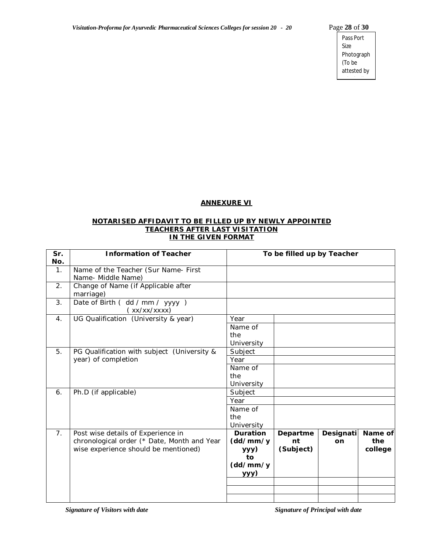Pass Port Size Photograph (To be attested by

Principal)

#### **ANNEXURE VI**

#### **NOTARISED AFFIDAVIT TO BE FILLED UP BY NEWLY APPOINTED TEACHERS AFTER LAST VISITATION IN THE GIVEN FORMAT**

| Sr.<br>No.     | <b>Information of Teacher</b>                              | To be filled up by Teacher |           |           |         |
|----------------|------------------------------------------------------------|----------------------------|-----------|-----------|---------|
| $\mathbf{1}$ . | Name of the Teacher (Sur Name- First<br>Name- Middle Name) |                            |           |           |         |
| 2.             | Change of Name (if Applicable after<br>marriage)           |                            |           |           |         |
| 3.             | Date of Birth ( dd / mm / yyyy )<br>(xx/xx/xxxx)           |                            |           |           |         |
| 4.             | UG Qualification (University & year)                       | Year                       |           |           |         |
|                |                                                            | Name of                    |           |           |         |
|                |                                                            | the                        |           |           |         |
|                |                                                            | University                 |           |           |         |
| 5.             | PG Qualification with subject (University &                | Subject                    |           |           |         |
|                | year) of completion                                        | Year                       |           |           |         |
|                |                                                            | Name of                    |           |           |         |
|                |                                                            | the                        |           |           |         |
|                |                                                            | University                 |           |           |         |
| 6.             | Ph.D (if applicable)                                       | Subject                    |           |           |         |
|                |                                                            | Year                       |           |           |         |
|                |                                                            | Name of                    |           |           |         |
|                |                                                            | the                        |           |           |         |
|                |                                                            | University                 |           |           |         |
| 7 <sub>1</sub> | Post wise details of Experience in                         | <b>Duration</b>            | Departme  | Designati | Name of |
|                | chronological order (* Date, Month and Year                | (dd/mm/y                   | nt        | on        | the     |
|                | wise experience should be mentioned)                       | yyy)                       | (Subject) |           | college |
|                |                                                            | to                         |           |           |         |
|                |                                                            | (dd/mm/y                   |           |           |         |
|                |                                                            | <u>yyy)</u>                |           |           |         |
|                |                                                            |                            |           |           |         |
|                |                                                            |                            |           |           |         |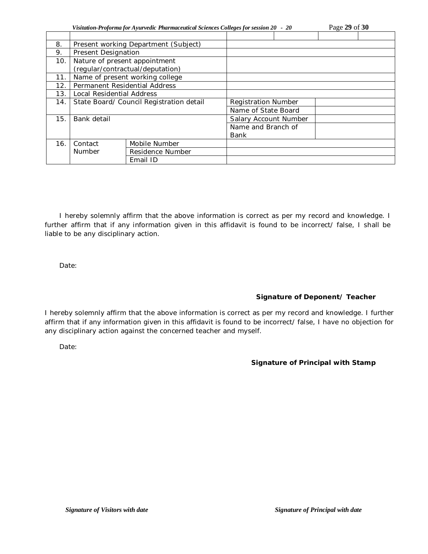| Visitation-Proforma for Ayurvedic Pharmaceutical Sciences Colleges for session 20 - 20 | Page 29 of 30 |
|----------------------------------------------------------------------------------------|---------------|
|                                                                                        |               |

| 8.  | Present working Department (Subject)     |                                  |                            |  |  |  |
|-----|------------------------------------------|----------------------------------|----------------------------|--|--|--|
| 9.  | Present Designation                      |                                  |                            |  |  |  |
| 10. | Nature of present appointment            |                                  |                            |  |  |  |
|     |                                          | (regular/contractual/deputation) |                            |  |  |  |
| 11. |                                          | Name of present working college  |                            |  |  |  |
| 12. | Permanent Residential Address            |                                  |                            |  |  |  |
| 13. | Local Residential Address                |                                  |                            |  |  |  |
| 14. | State Board/ Council Registration detail |                                  | <b>Registration Number</b> |  |  |  |
|     |                                          |                                  | Name of State Board        |  |  |  |
| 15. | Bank detail                              |                                  | Salary Account Number      |  |  |  |
|     |                                          |                                  | Name and Branch of         |  |  |  |
|     |                                          |                                  | Bank                       |  |  |  |
| 16. | Contact                                  | Mobile Number                    |                            |  |  |  |
|     | Number                                   | Residence Number                 |                            |  |  |  |
|     |                                          | Email ID                         |                            |  |  |  |

I hereby solemnly affirm that the above information is correct as per my record and knowledge. I further affirm that if any information given in this affidavit is found to be incorrect/ false, I shall be liable to be any disciplinary action.

Date:

# **Signature of Deponent/ Teacher**

I hereby solemnly affirm that the above information is correct as per my record and knowledge. I further affirm that if any information given in this affidavit is found to be incorrect/ false, I have no objection for any disciplinary action against the concerned teacher and myself.

Date:

# **Signature of Principal with Stamp**